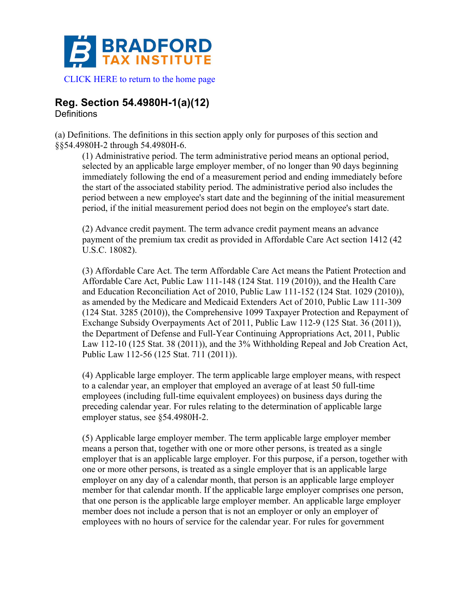

**Reg. Section 54.4980H-1(a)(12)**

**Definitions** 

(a) Definitions. The definitions in this section apply only for purposes of this section and §§54.4980H-2 through 54.4980H-6.

(1) Administrative period. The term administrative period means an optional period, selected by an applicable large employer member, of no longer than 90 days beginning immediately following the end of a measurement period and ending immediately before the start of the associated stability period. The administrative period also includes the period between a new employee's start date and the beginning of the initial measurement period, if the initial measurement period does not begin on the employee's start date.

(2) Advance credit payment. The term advance credit payment means an advance payment of the premium tax credit as provided in Affordable Care Act section 1412 (42 U.S.C. 18082).

(3) Affordable Care Act. The term Affordable Care Act means the Patient Protection and Affordable Care Act, Public Law 111-148 (124 Stat. 119 (2010)), and the Health Care and Education Reconciliation Act of 2010, Public Law 111-152 (124 Stat. 1029 (2010)), as amended by the Medicare and Medicaid Extenders Act of 2010, Public Law 111-309 (124 Stat. 3285 (2010)), the Comprehensive 1099 Taxpayer Protection and Repayment of Exchange Subsidy Overpayments Act of 2011, Public Law 112-9 (125 Stat. 36 (2011)), the Department of Defense and Full-Year Continuing Appropriations Act, 2011, Public Law 112-10 (125 Stat. 38 (2011)), and the 3% Withholding Repeal and Job Creation Act, Public Law 112-56 (125 Stat. 711 (2011)).

(4) Applicable large employer. The term applicable large employer means, with respect to a calendar year, an employer that employed an average of at least 50 full-time employees (including full-time equivalent employees) on business days during the preceding calendar year. For rules relating to the determination of applicable large employer status, see §54.4980H-2.

(5) Applicable large employer member. The term applicable large employer member means a person that, together with one or more other persons, is treated as a single employer that is an applicable large employer. For this purpose, if a person, together with one or more other persons, is treated as a single employer that is an applicable large employer on any day of a calendar month, that person is an applicable large employer member for that calendar month. If the applicable large employer comprises one person, that one person is the applicable large employer member. An applicable large employer member does not include a person that is not an employer or only an employer of employees with no hours of service for the calendar year. For rules for government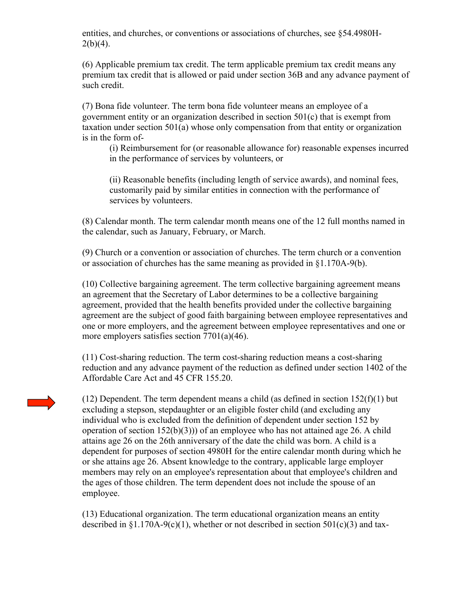entities, and churches, or conventions or associations of churches, see §54.4980H- $2(b)(4)$ .

(6) Applicable premium tax credit. The term applicable premium tax credit means any premium tax credit that is allowed or paid under section 36B and any advance payment of such credit.

(7) Bona fide volunteer. The term bona fide volunteer means an employee of a government entity or an organization described in section 501(c) that is exempt from taxation under section 501(a) whose only compensation from that entity or organization is in the form of-

(i) Reimbursement for (or reasonable allowance for) reasonable expenses incurred in the performance of services by volunteers, or

(ii) Reasonable benefits (including length of service awards), and nominal fees, customarily paid by similar entities in connection with the performance of services by volunteers.

(8) Calendar month. The term calendar month means one of the 12 full months named in the calendar, such as January, February, or March.

(9) Church or a convention or association of churches. The term church or a convention or association of churches has the same meaning as provided in §1.170A-9(b).

(10) Collective bargaining agreement. The term collective bargaining agreement means an agreement that the Secretary of Labor determines to be a collective bargaining agreement, provided that the health benefits provided under the collective bargaining agreement are the subject of good faith bargaining between employee representatives and one or more employers, and the agreement between employee representatives and one or more employers satisfies section 7701(a)(46).

(11) Cost-sharing reduction. The term cost-sharing reduction means a cost-sharing reduction and any advance payment of the reduction as defined under section 1402 of the Affordable Care Act and 45 CFR 155.20.

(12) Dependent. The term dependent means a child (as defined in section  $152(f)(1)$  but excluding a stepson, stepdaughter or an eligible foster child (and excluding any individual who is excluded from the definition of dependent under section 152 by operation of section  $152(b)(3)$ ) of an employee who has not attained age 26. A child attains age 26 on the 26th anniversary of the date the child was born. A child is a dependent for purposes of section 4980H for the entire calendar month during which he or she attains age 26. Absent knowledge to the contrary, applicable large employer members may rely on an employee's representation about that employee's children and the ages of those children. The term dependent does not include the spouse of an employee.

(13) Educational organization. The term educational organization means an entity described in  $\S1.170A-9(c)(1)$ , whether or not described in section 501(c)(3) and tax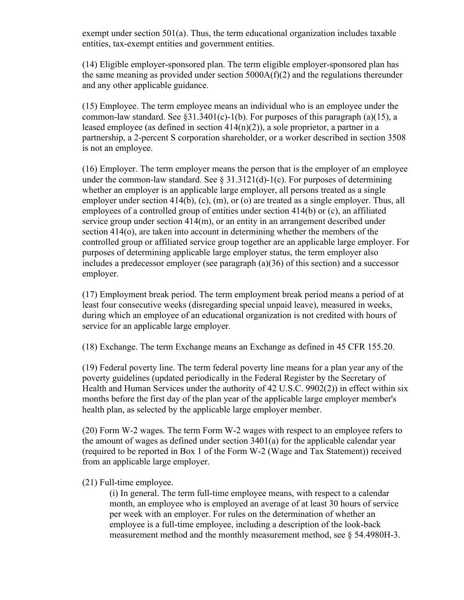exempt under section 501(a). Thus, the term educational organization includes taxable entities, tax-exempt entities and government entities.

(14) Eligible employer-sponsored plan. The term eligible employer-sponsored plan has the same meaning as provided under section 5000A(f)(2) and the regulations thereunder and any other applicable guidance.

(15) Employee. The term employee means an individual who is an employee under the common-law standard. See  $\S31.3401(c)$ -1(b). For purposes of this paragraph (a)(15), a leased employee (as defined in section  $414(n)(2)$ ), a sole proprietor, a partner in a partnership, a 2-percent S corporation shareholder, or a worker described in section 3508 is not an employee.

(16) Employer. The term employer means the person that is the employer of an employee under the common-law standard. See  $\S 31.3121(d)$ -1(c). For purposes of determining whether an employer is an applicable large employer, all persons treated as a single employer under section 414(b), (c), (m), or (o) are treated as a single employer. Thus, all employees of a controlled group of entities under section 414(b) or (c), an affiliated service group under section 414(m), or an entity in an arrangement described under section 414(o), are taken into account in determining whether the members of the controlled group or affiliated service group together are an applicable large employer. For purposes of determining applicable large employer status, the term employer also includes a predecessor employer (see paragraph (a)(36) of this section) and a successor employer.

(17) Employment break period. The term employment break period means a period of at least four consecutive weeks (disregarding special unpaid leave), measured in weeks, during which an employee of an educational organization is not credited with hours of service for an applicable large employer.

(18) Exchange. The term Exchange means an Exchange as defined in 45 CFR 155.20.

(19) Federal poverty line. The term federal poverty line means for a plan year any of the poverty guidelines (updated periodically in the Federal Register by the Secretary of Health and Human Services under the authority of 42 U.S.C. 9902(2)) in effect within six months before the first day of the plan year of the applicable large employer member's health plan, as selected by the applicable large employer member.

(20) Form W-2 wages. The term Form W-2 wages with respect to an employee refers to the amount of wages as defined under section 3401(a) for the applicable calendar year (required to be reported in Box 1 of the Form W-2 (Wage and Tax Statement)) received from an applicable large employer.

(21) Full-time employee.

(i) In general. The term full-time employee means, with respect to a calendar month, an employee who is employed an average of at least 30 hours of service per week with an employer. For rules on the determination of whether an employee is a full-time employee, including a description of the look-back measurement method and the monthly measurement method, see § 54.4980H-3.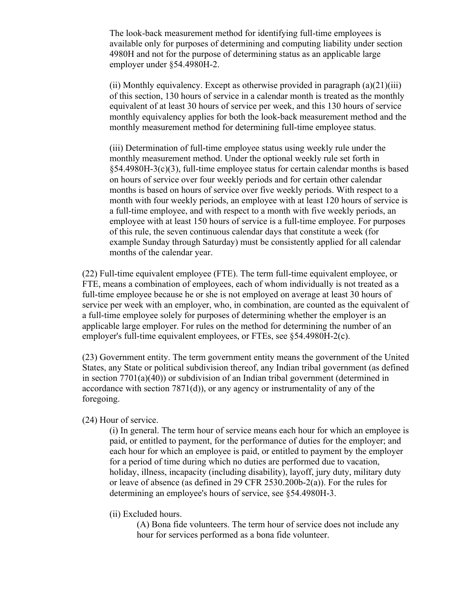The look-back measurement method for identifying full-time employees is available only for purposes of determining and computing liability under section 4980H and not for the purpose of determining status as an applicable large employer under §54.4980H-2.

(ii) Monthly equivalency. Except as otherwise provided in paragraph  $(a)(21)(iii)$ of this section, 130 hours of service in a calendar month is treated as the monthly equivalent of at least 30 hours of service per week, and this 130 hours of service monthly equivalency applies for both the look-back measurement method and the monthly measurement method for determining full-time employee status.

(iii) Determination of full-time employee status using weekly rule under the monthly measurement method. Under the optional weekly rule set forth in §54.4980H-3(c)(3), full-time employee status for certain calendar months is based on hours of service over four weekly periods and for certain other calendar months is based on hours of service over five weekly periods. With respect to a month with four weekly periods, an employee with at least 120 hours of service is a full-time employee, and with respect to a month with five weekly periods, an employee with at least 150 hours of service is a full-time employee. For purposes of this rule, the seven continuous calendar days that constitute a week (for example Sunday through Saturday) must be consistently applied for all calendar months of the calendar year.

(22) Full-time equivalent employee (FTE). The term full-time equivalent employee, or FTE, means a combination of employees, each of whom individually is not treated as a full-time employee because he or she is not employed on average at least 30 hours of service per week with an employer, who, in combination, are counted as the equivalent of a full-time employee solely for purposes of determining whether the employer is an applicable large employer. For rules on the method for determining the number of an employer's full-time equivalent employees, or FTEs, see §54.4980H-2(c).

(23) Government entity. The term government entity means the government of the United States, any State or political subdivision thereof, any Indian tribal government (as defined in section 7701(a)(40)) or subdivision of an Indian tribal government (determined in accordance with section 7871(d)), or any agency or instrumentality of any of the foregoing.

## (24) Hour of service.

(i) In general. The term hour of service means each hour for which an employee is paid, or entitled to payment, for the performance of duties for the employer; and each hour for which an employee is paid, or entitled to payment by the employer for a period of time during which no duties are performed due to vacation, holiday, illness, incapacity (including disability), layoff, jury duty, military duty or leave of absence (as defined in 29 CFR 2530.200b-2(a)). For the rules for determining an employee's hours of service, see §54.4980H-3.

(ii) Excluded hours.

(A) Bona fide volunteers. The term hour of service does not include any hour for services performed as a bona fide volunteer.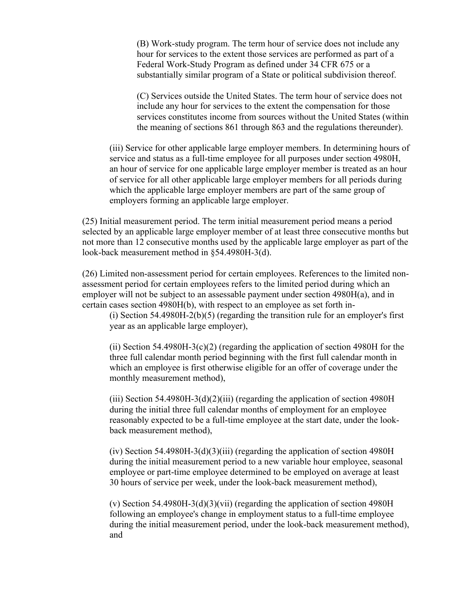(B) Work-study program. The term hour of service does not include any hour for services to the extent those services are performed as part of a Federal Work-Study Program as defined under 34 CFR 675 or a substantially similar program of a State or political subdivision thereof.

(C) Services outside the United States. The term hour of service does not include any hour for services to the extent the compensation for those services constitutes income from sources without the United States (within the meaning of sections 861 through 863 and the regulations thereunder).

(iii) Service for other applicable large employer members. In determining hours of service and status as a full-time employee for all purposes under section 4980H, an hour of service for one applicable large employer member is treated as an hour of service for all other applicable large employer members for all periods during which the applicable large employer members are part of the same group of employers forming an applicable large employer.

(25) Initial measurement period. The term initial measurement period means a period selected by an applicable large employer member of at least three consecutive months but not more than 12 consecutive months used by the applicable large employer as part of the look-back measurement method in §54.4980H-3(d).

(26) Limited non-assessment period for certain employees. References to the limited nonassessment period for certain employees refers to the limited period during which an employer will not be subject to an assessable payment under section 4980H(a), and in certain cases section 4980H(b), with respect to an employee as set forth in-

(i) Section 54.4980H-2(b)(5) (regarding the transition rule for an employer's first year as an applicable large employer),

(ii) Section 54.4980H-3(c)(2) (regarding the application of section 4980H for the three full calendar month period beginning with the first full calendar month in which an employee is first otherwise eligible for an offer of coverage under the monthly measurement method),

(iii) Section 54.4980H-3(d)(2)(iii) (regarding the application of section 4980H during the initial three full calendar months of employment for an employee reasonably expected to be a full-time employee at the start date, under the lookback measurement method),

(iv) Section 54.4980H-3(d)(3)(iii) (regarding the application of section 4980H during the initial measurement period to a new variable hour employee, seasonal employee or part-time employee determined to be employed on average at least 30 hours of service per week, under the look-back measurement method),

(v) Section 54.4980H-3(d)(3)(vii) (regarding the application of section 4980H following an employee's change in employment status to a full-time employee during the initial measurement period, under the look-back measurement method), and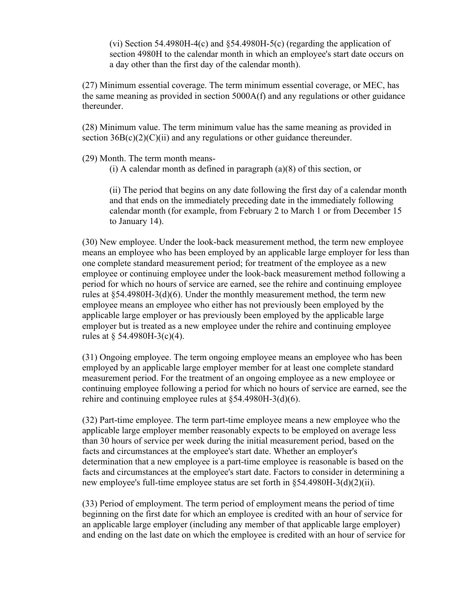(vi) Section 54.4980H-4(c) and §54.4980H-5(c) (regarding the application of section 4980H to the calendar month in which an employee's start date occurs on a day other than the first day of the calendar month).

(27) Minimum essential coverage. The term minimum essential coverage, or MEC, has the same meaning as provided in section 5000A(f) and any regulations or other guidance thereunder.

(28) Minimum value. The term minimum value has the same meaning as provided in section  $36B(c)(2)(C)(ii)$  and any regulations or other guidance thereunder.

(29) Month. The term month means-

 $(i)$  A calendar month as defined in paragraph  $(a)(8)$  of this section, or

(ii) The period that begins on any date following the first day of a calendar month and that ends on the immediately preceding date in the immediately following calendar month (for example, from February 2 to March 1 or from December 15 to January 14).

(30) New employee. Under the look-back measurement method, the term new employee means an employee who has been employed by an applicable large employer for less than one complete standard measurement period; for treatment of the employee as a new employee or continuing employee under the look-back measurement method following a period for which no hours of service are earned, see the rehire and continuing employee rules at §54.4980H-3(d)(6). Under the monthly measurement method, the term new employee means an employee who either has not previously been employed by the applicable large employer or has previously been employed by the applicable large employer but is treated as a new employee under the rehire and continuing employee rules at  $\S$  54.4980H-3(c)(4).

(31) Ongoing employee. The term ongoing employee means an employee who has been employed by an applicable large employer member for at least one complete standard measurement period. For the treatment of an ongoing employee as a new employee or continuing employee following a period for which no hours of service are earned, see the rehire and continuing employee rules at §54.4980H-3(d)(6).

(32) Part-time employee. The term part-time employee means a new employee who the applicable large employer member reasonably expects to be employed on average less than 30 hours of service per week during the initial measurement period, based on the facts and circumstances at the employee's start date. Whether an employer's determination that a new employee is a part-time employee is reasonable is based on the facts and circumstances at the employee's start date. Factors to consider in determining a new employee's full-time employee status are set forth in §54.4980H-3(d)(2)(ii).

(33) Period of employment. The term period of employment means the period of time beginning on the first date for which an employee is credited with an hour of service for an applicable large employer (including any member of that applicable large employer) and ending on the last date on which the employee is credited with an hour of service for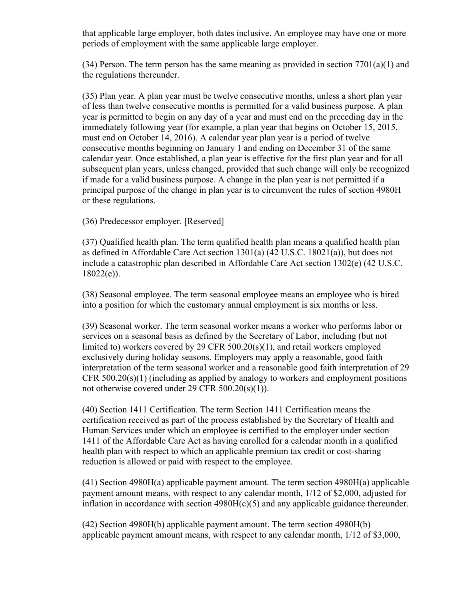that applicable large employer, both dates inclusive. An employee may have one or more periods of employment with the same applicable large employer.

(34) Person. The term person has the same meaning as provided in section  $7701(a)(1)$  and the regulations thereunder.

(35) Plan year. A plan year must be twelve consecutive months, unless a short plan year of less than twelve consecutive months is permitted for a valid business purpose. A plan year is permitted to begin on any day of a year and must end on the preceding day in the immediately following year (for example, a plan year that begins on October 15, 2015, must end on October 14, 2016). A calendar year plan year is a period of twelve consecutive months beginning on January 1 and ending on December 31 of the same calendar year. Once established, a plan year is effective for the first plan year and for all subsequent plan years, unless changed, provided that such change will only be recognized if made for a valid business purpose. A change in the plan year is not permitted if a principal purpose of the change in plan year is to circumvent the rules of section 4980H or these regulations.

(36) Predecessor employer. [Reserved]

(37) Qualified health plan. The term qualified health plan means a qualified health plan as defined in Affordable Care Act section 1301(a) (42 U.S.C. 18021(a)), but does not include a catastrophic plan described in Affordable Care Act section 1302(e) (42 U.S.C.  $18022(e)$ ).

(38) Seasonal employee. The term seasonal employee means an employee who is hired into a position for which the customary annual employment is six months or less.

(39) Seasonal worker. The term seasonal worker means a worker who performs labor or services on a seasonal basis as defined by the Secretary of Labor, including (but not limited to) workers covered by 29 CFR 500.20(s)(1), and retail workers employed exclusively during holiday seasons. Employers may apply a reasonable, good faith interpretation of the term seasonal worker and a reasonable good faith interpretation of 29 CFR 500.20(s)(1) (including as applied by analogy to workers and employment positions not otherwise covered under 29 CFR 500.20(s)(1)).

(40) Section 1411 Certification. The term Section 1411 Certification means the certification received as part of the process established by the Secretary of Health and Human Services under which an employee is certified to the employer under section 1411 of the Affordable Care Act as having enrolled for a calendar month in a qualified health plan with respect to which an applicable premium tax credit or cost-sharing reduction is allowed or paid with respect to the employee.

(41) Section 4980H(a) applicable payment amount. The term section 4980H(a) applicable payment amount means, with respect to any calendar month, 1/12 of \$2,000, adjusted for inflation in accordance with section 4980H(c)(5) and any applicable guidance thereunder.

(42) Section 4980H(b) applicable payment amount. The term section 4980H(b) applicable payment amount means, with respect to any calendar month, 1/12 of \$3,000,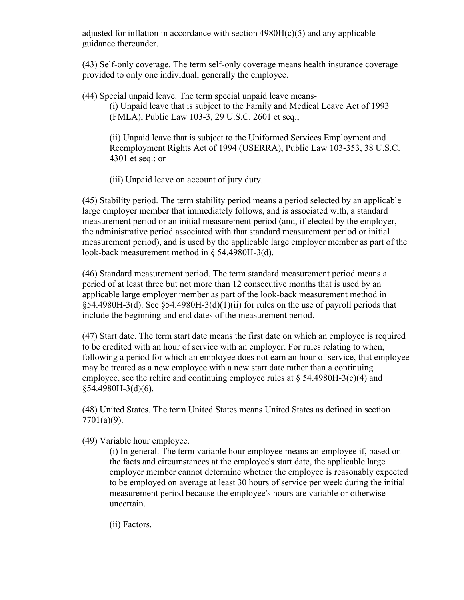adjusted for inflation in accordance with section  $4980H(c)(5)$  and any applicable guidance thereunder.

(43) Self-only coverage. The term self-only coverage means health insurance coverage provided to only one individual, generally the employee.

(44) Special unpaid leave. The term special unpaid leave means- (i) Unpaid leave that is subject to the Family and Medical Leave Act of 1993 (FMLA), Public Law 103-3, 29 U.S.C. 2601 et seq.;

(ii) Unpaid leave that is subject to the Uniformed Services Employment and Reemployment Rights Act of 1994 (USERRA), Public Law 103-353, 38 U.S.C. 4301 et seq.; or

(iii) Unpaid leave on account of jury duty.

(45) Stability period. The term stability period means a period selected by an applicable large employer member that immediately follows, and is associated with, a standard measurement period or an initial measurement period (and, if elected by the employer, the administrative period associated with that standard measurement period or initial measurement period), and is used by the applicable large employer member as part of the look-back measurement method in § 54.4980H-3(d).

(46) Standard measurement period. The term standard measurement period means a period of at least three but not more than 12 consecutive months that is used by an applicable large employer member as part of the look-back measurement method in  $§54.4980H-3(d)$ . See  $§54.4980H-3(d)(1)(ii)$  for rules on the use of payroll periods that include the beginning and end dates of the measurement period.

(47) Start date. The term start date means the first date on which an employee is required to be credited with an hour of service with an employer. For rules relating to when, following a period for which an employee does not earn an hour of service, that employee may be treated as a new employee with a new start date rather than a continuing employee, see the rehire and continuing employee rules at  $\S$  54.4980H-3(c)(4) and §54.4980H-3(d)(6).

(48) United States. The term United States means United States as defined in section 7701(a)(9).

(49) Variable hour employee.

(i) In general. The term variable hour employee means an employee if, based on the facts and circumstances at the employee's start date, the applicable large employer member cannot determine whether the employee is reasonably expected to be employed on average at least 30 hours of service per week during the initial measurement period because the employee's hours are variable or otherwise uncertain.

(ii) Factors.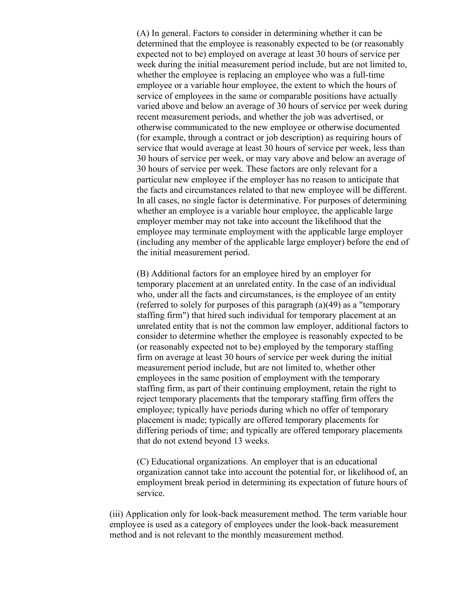(A) In general. Factors to consider in determining whether it can be determined that the employee is reasonably expected to be (or reasonably expected not to be) employed on average at least 30 hours of service per week during the initial measurement period include, but are not limited to, whether the employee is replacing an employee who was a full-time employee or a variable hour employee, the extent to which the hours of service of employees in the same or comparable positions have actually varied above and below an average of 30 hours of service per week during recent measurement periods, and whether the job was advertised, or otherwise communicated to the new employee or otherwise documented (for example, through a contract or job description) as requiring hours of service that would average at least 30 hours of service per week, less than 30 hours of service per week, or may vary above and below an average of 30 hours of service per week. These factors are only relevant for a particular new employee if the employer has no reason to anticipate that the facts and circumstances related to that new employee will be different. In all cases, no single factor is determinative. For purposes of determining whether an employee is a variable hour employee, the applicable large employer member may not take into account the likelihood that the employee may terminate employment with the applicable large employer (including any member of the applicable large employer) before the end of the initial measurement period.

(B) Additional factors for an employee hired by an employer for temporary placement at an unrelated entity. In the case of an individual who, under all the facts and circumstances, is the employee of an entity (referred to solely for purposes of this paragraph (a)(49) as a "temporary staffing firm") that hired such individual for temporary placement at an unrelated entity that is not the common law employer, additional factors to consider to determine whether the employee is reasonably expected to be (or reasonably expected not to be) employed by the temporary staffing firm on average at least 30 hours of service per week during the initial measurement period include, but are not limited to, whether other employees in the same position of employment with the temporary staffing firm, as part of their continuing employment, retain the right to reject temporary placements that the temporary staffing firm offers the employee; typically have periods during which no offer of temporary placement is made; typically are offered temporary placements for differing periods of time; and typically are offered temporary placements that do not extend beyond 13 weeks.

(C) Educational organizations. An employer that is an educational organization cannot take into account the potential for, or likelihood of, an employment break period in determining its expectation of future hours of service.

(iii) Application only for look-back measurement method. The term variable hour employee is used as a category of employees under the look-back measurement method and is not relevant to the monthly measurement method.